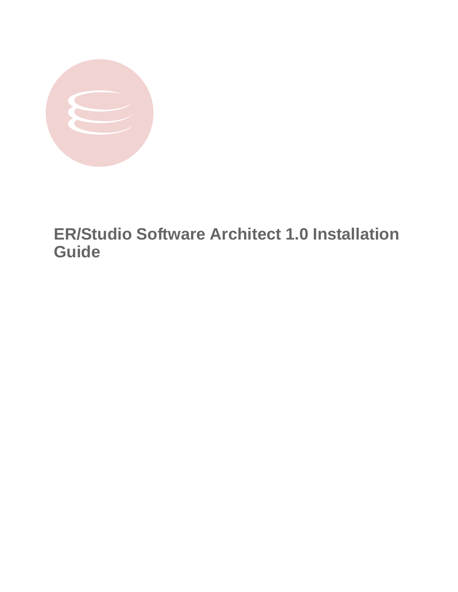

# **ER/Studio Software Architect 1.0 Installation Guide**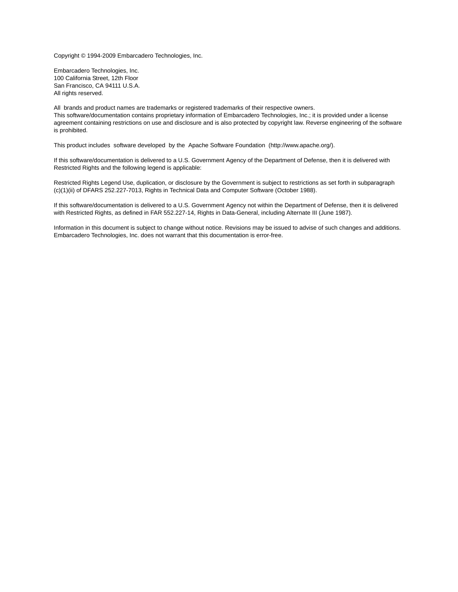Copyright © 1994-2009 Embarcadero Technologies, Inc.

Embarcadero Technologies, Inc. 100 California Street, 12th Floor San Francisco, CA 94111 U.S.A. All rights reserved.

All brands and product names are trademarks or registered trademarks of their respective owners. This software/documentation contains proprietary information of Embarcadero Technologies, Inc.; it is provided under a license agreement containing restrictions on use and disclosure and is also protected by copyright law. Reverse engineering of the software is prohibited.

This product includes software developed by the Apache Software Foundation (http://www.apache.org/).

If this software/documentation is delivered to a U.S. Government Agency of the Department of Defense, then it is delivered with Restricted Rights and the following legend is applicable:

Restricted Rights Legend Use, duplication, or disclosure by the Government is subject to restrictions as set forth in subparagraph (c)(1)(ii) of DFARS 252.227-7013, Rights in Technical Data and Computer Software (October 1988).

If this software/documentation is delivered to a U.S. Government Agency not within the Department of Defense, then it is delivered with Restricted Rights, as defined in FAR 552.227-14, Rights in Data-General, including Alternate III (June 1987).

Information in this document is subject to change without notice. Revisions may be issued to advise of such changes and additions. Embarcadero Technologies, Inc. does not warrant that this documentation is error-free.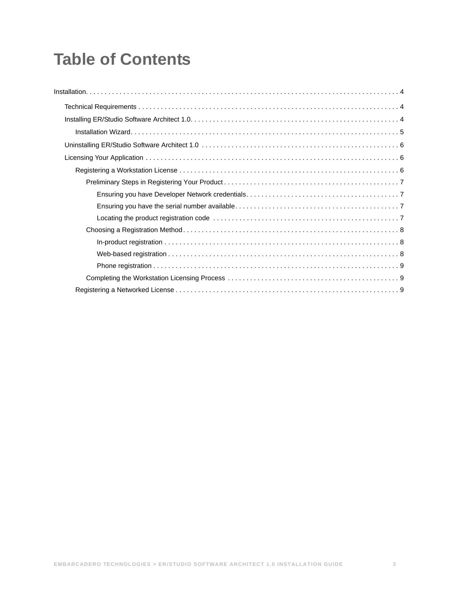# **Table of Contents**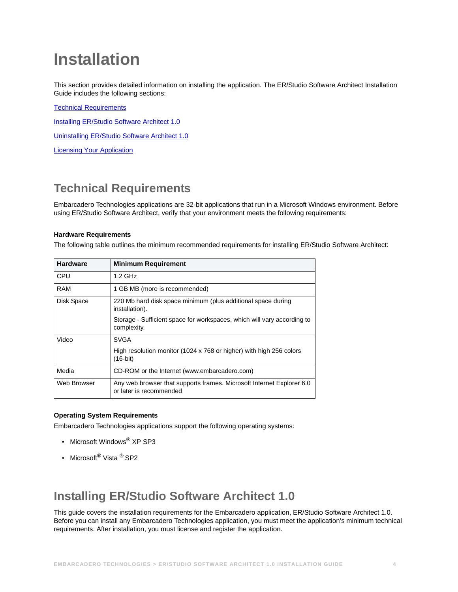# <span id="page-3-0"></span>**Installation**

This section provides detailed information on installing the application. The ER/Studio Software Architect Installation Guide includes the following sections:

[Technical Requirements](#page-3-1)

**[Installing ER/Studio Software Architect 1.0](#page-3-2)** 

[Uninstalling ER/Studio Software Architect 1.0](#page-5-0)

**[Licensing Your Application](#page-5-1)** 

# <span id="page-3-1"></span>**Technical Requirements**

Embarcadero Technologies applications are 32-bit applications that run in a Microsoft Windows environment. Before using ER/Studio Software Architect, verify that your environment meets the following requirements:

### **Hardware Requirements**

The following table outlines the minimum recommended requirements for installing ER/Studio Software Architect:

| <b>Hardware</b> | <b>Minimum Requirement</b>                                                                       |
|-----------------|--------------------------------------------------------------------------------------------------|
| <b>CPU</b>      | $1.2$ GHz                                                                                        |
| <b>RAM</b>      | 1 GB MB (more is recommended)                                                                    |
| Disk Space      | 220 Mb hard disk space minimum (plus additional space during<br>installation).                   |
|                 | Storage - Sufficient space for workspaces, which will vary according to<br>complexity.           |
| Video           | <b>SVGA</b>                                                                                      |
|                 | High resolution monitor (1024 x 768 or higher) with high 256 colors<br>$(16-bit)$                |
| Media           | CD-ROM or the Internet (www.embarcadero.com)                                                     |
| Web Browser     | Any web browser that supports frames. Microsoft Internet Explorer 6.0<br>or later is recommended |

### **Operating System Requirements**

Embarcadero Technologies applications support the following operating systems:

- Microsoft Windows® XP SP3
- Microsoft<sup>®</sup> Vista <sup>®</sup> SP2

## <span id="page-3-2"></span>**Installing ER/Studio Software Architect 1.0**

This guide covers the installation requirements for the Embarcadero application, ER/Studio Software Architect 1.0. Before you can install any Embarcadero Technologies application, you must meet the application's minimum technical requirements. After installation, you must license and register the application.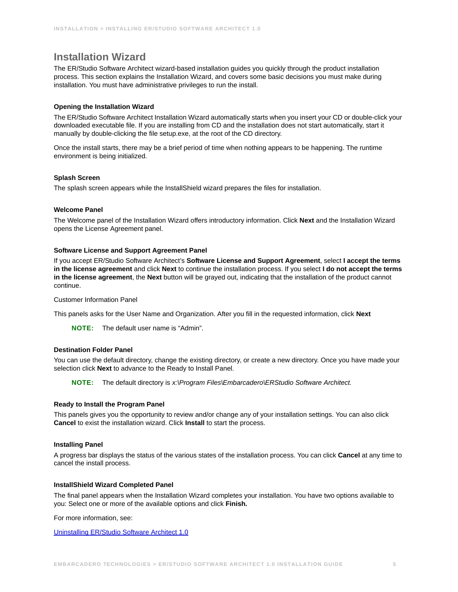### <span id="page-4-0"></span>**Installation Wizard**

The ER/Studio Software Architect wizard-based installation guides you quickly through the product installation process. This section explains the Installation Wizard, and covers some basic decisions you must make during installation. You must have administrative privileges to run the install.

### **Opening the Installation Wizard**

The ER/Studio Software Architect Installation Wizard automatically starts when you insert your CD or double-click your downloaded executable file. If you are installing from CD and the installation does not start automatically, start it manually by double-clicking the file setup.exe, at the root of the CD directory.

Once the install starts, there may be a brief period of time when nothing appears to be happening. The runtime environment is being initialized.

### **Splash Screen**

The splash screen appears while the InstallShield wizard prepares the files for installation.

### **Welcome Panel**

The Welcome panel of the Installation Wizard offers introductory information. Click **Next** and the Installation Wizard opens the License Agreement panel.

### **Software License and Support Agreement Panel**

If you accept ER/Studio Software Architect's **Software License and Support Agreement**, select **I accept the terms in the license agreement** and click **Next** to continue the installation process. If you select **I do not accept the terms in the license agreement**, the **Next** button will be grayed out, indicating that the installation of the product cannot continue.

### Customer Information Panel

This panels asks for the User Name and Organization. After you fill in the requested information, click **Next**

**NOTE:** The default user name is "Admin".

### **Destination Folder Panel**

You can use the default directory, change the existing directory, or create a new directory. Once you have made your selection click **Next** to advance to the Ready to Install Panel.

**NOTE:** The default directory is *x:\Program Files\Embarcadero\ERStudio Software Architect.*

### **Ready to Install the Program Panel**

This panels gives you the opportunity to review and/or change any of your installation settings. You can also click **Cancel** to exist the installation wizard. Click **Install** to start the process.

### **Installing Panel**

A progress bar displays the status of the various states of the installation process. You can click **Cancel** at any time to cancel the install process.

### **InstallShield Wizard Completed Panel**

The final panel appears when the Installation Wizard completes your installation. You have two options available to you: Select one or more of the available options and click **Finish.** 

For more information, see:

[Uninstalling ER/Studio Software Architect 1.0](#page-5-0)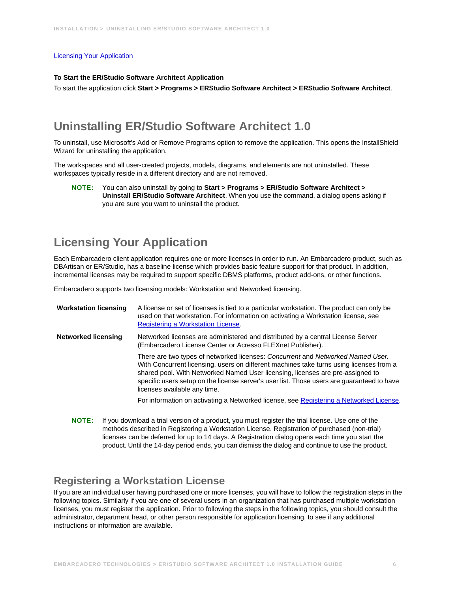### [Licensing Your Application](#page-5-1)

#### **To Start the ER/Studio Software Architect Application**

To start the application click **Start > Programs > ERStudio Software Architect > ERStudio Software Architect**.

## <span id="page-5-0"></span>**Uninstalling ER/Studio Software Architect 1.0**

To uninstall, use Microsoft's Add or Remove Programs option to remove the application. This opens the InstallShield Wizard for uninstalling the application.

The workspaces and all user-created projects, models, diagrams, and elements are not uninstalled. These workspaces typically reside in a different directory and are not removed.

**NOTE:** You can also uninstall by going to **Start > Programs > ER/Studio Software Architect > Uninstall ER/Studio Software Architect**. When you use the command, a dialog opens asking if you are sure you want to uninstall the product.

## <span id="page-5-1"></span>**Licensing Your Application**

Each Embarcadero client application requires one or more licenses in order to run. An Embarcadero product, such as DBArtisan or ER/Studio, has a baseline license which provides basic feature support for that product. In addition, incremental licenses may be required to support specific DBMS platforms, product add-ons, or other functions.

Embarcadero supports two licensing models: Workstation and Networked licensing.

| <b>Workstation licensing</b> | A license or set of licenses is tied to a particular workstation. The product can only be<br>used on that workstation. For information on activating a Workstation license, see<br>Registering a Workstation License.                                                                                                                                                                      |
|------------------------------|--------------------------------------------------------------------------------------------------------------------------------------------------------------------------------------------------------------------------------------------------------------------------------------------------------------------------------------------------------------------------------------------|
| Networked licensing          | Networked licenses are administered and distributed by a central License Server<br>(Embarcadero License Center or Acresso FLEXnet Publisher).                                                                                                                                                                                                                                              |
|                              | There are two types of networked licenses: Concurrent and Networked Named User.<br>With Concurrent licensing, users on different machines take turns using licenses from a<br>shared pool. With Networked Named User licensing, licenses are pre-assigned to<br>specific users setup on the license server's user list. Those users are guaranteed to have<br>licenses available any time. |
|                              | For information on activating a Networked license, see Registering a Networked License.                                                                                                                                                                                                                                                                                                    |
|                              |                                                                                                                                                                                                                                                                                                                                                                                            |

**NOTE:** If you download a trial version of a product, you must register the trial license. Use one of the methods described in Registering a Workstation License. Registration of purchased (non-trial) licenses can be deferred for up to 14 days. A Registration dialog opens each time you start the product. Until the 14-day period ends, you can dismiss the dialog and continue to use the product.

### <span id="page-5-2"></span>**Registering a Workstation License**

If you are an individual user having purchased one or more licenses, you will have to follow the registration steps in the following topics. Similarly if you are one of several users in an organization that has purchased multiple workstation licenses, you must register the application. Prior to following the steps in the following topics, you should consult the administrator, department head, or other person responsible for application licensing, to see if any additional instructions or information are available.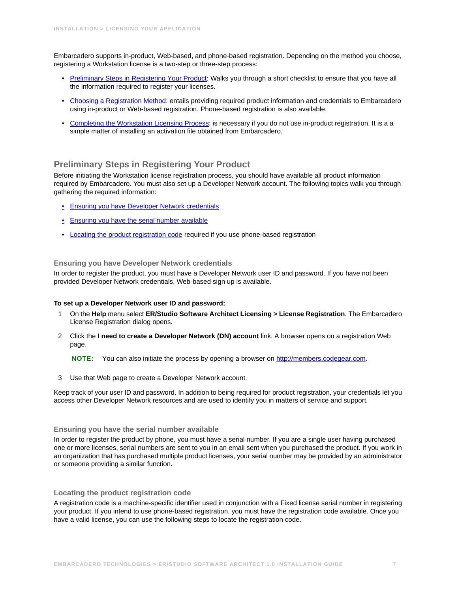Embarcadero supports in-product, Web-based, and phone-based registration. Depending on the method you choose, registering a Workstation license is a two-step or three-step process:

- [Preliminary Steps in Registering Your Product](#page-6-0): Walks you through a short checklist to ensure that you have all the information required to register your licenses.
- [Choosing a Registration Method](#page-7-0): entails providing required product information and credentials to Embarcadero using in-product or Web-based registration. Phone-based registration is also available.
- [Completing the Workstation Licensing Process](#page-8-1): is necessary if you do not use in-product registration. It is a a simple matter of installing an activation file obtained from Embarcadero.

### <span id="page-6-0"></span>**Preliminary Steps in Registering Your Product**

Before initiating the Workstation license registration process, you should have available all product information required by Embarcadero. You must also set up a Developer Network account. The following topics walk you through gathering the required information:

- [Ensuring you have Developer Network credentials](#page-6-1)
- [Ensuring you have the serial number available](#page-6-2)
- [Locating the product registration code](#page-6-3) required if you use phone-based registration

### <span id="page-6-1"></span>**Ensuring you have Developer Network credentials**

In order to register the product, you must have a Developer Network user ID and password. If you have not been provided Developer Network credentials, Web-based sign up is available.

#### **To set up a Developer Network user ID and password:**

- 1 On the **Help** menu select **ER/Studio Software Architect Licensing > License Registration**. The Embarcadero License Registration dialog opens.
- 2 Click the **I need to create a Developer Network (DN) account** link. A browser opens on a registration Web page.

**NOTE:** You can also initiate the process by opening a browser on [http://members.codegear.com](https://members.codegear.com/newuser.aspx?returnurl=/Default.aspx).

3 Use that Web page to create a Developer Network account.

Keep track of your user ID and password. In addition to being required for product registration, your credentials let you access other Developer Network resources and are used to identify you in matters of service and support.

### <span id="page-6-2"></span>**Ensuring you have the serial number available**

In order to register the product by phone, you must have a serial number. If you are a single user having purchased one or more licenses, serial numbers are sent to you in an email sent when you purchased the product. If you work in an organization that has purchased multiple product licenses, your serial number may be provided by an administrator or someone providing a similar function.

### <span id="page-6-3"></span>**Locating the product registration code**

A registration code is a machine-specific identifier used in conjunction with a Fixed license serial number in registering your product. If you intend to use phone-based registration, you must have the registration code available. Once you have a valid license, you can use the following steps to locate the registration code.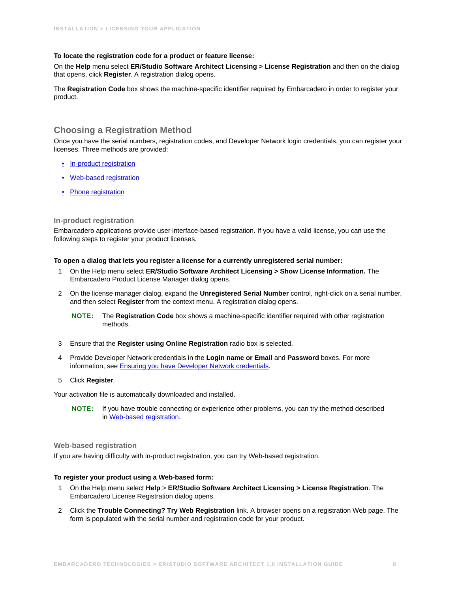### **To locate the registration code for a product or feature license:**

On the **Help** menu select **ER/Studio Software Architect Licensing > License Registration** and then on the dialog that opens, click **Register**. A registration dialog opens.

The **Registration Code** box shows the machine-specific identifier required by Embarcadero in order to register your product.

### <span id="page-7-0"></span>**Choosing a Registration Method**

Once you have the serial numbers, registration codes, and Developer Network login credentials, you can register your licenses. Three methods are provided:

- [In-product registration](#page-7-1)
- [Web-based registration](#page-7-2)
- [Phone registration](#page-8-0)

### <span id="page-7-1"></span>**In-product registration**

Embarcadero applications provide user interface-based registration. If you have a valid license, you can use the following steps to register your product licenses.

### **To open a dialog that lets you register a license for a currently unregistered serial number:**

- 1 On the Help menu select **ER/Studio Software Architect Licensing > Show License Information.** The Embarcadero Product License Manager dialog opens.
- 2 On the license manager dialog, expand the **Unregistered Serial Number** control, right-click on a serial number, and then select **Register** from the context menu. A registration dialog opens.
	- **NOTE:** The **Registration Code** box shows a machine-specific identifier required with other registration methods.
- 3 Ensure that the **Register using Online Registration** radio box is selected.
- 4 Provide Developer Network credentials in the **Login name or Email** and **Password** boxes. For more information, see [Ensuring you have Developer Network credentials](#page-6-1).

### 5 Click **Register**.

Your activation file is automatically downloaded and installed.

**NOTE:** If you have trouble connecting or experience other problems, you can try the method described in [Web-based registration](#page-7-2).

### <span id="page-7-2"></span>**Web-based registration**

If you are having difficulty with in-product registration, you can try Web-based registration.

### **To register your product using a Web-based form:**

- 1 On the Help menu select **Help** > **ER/Studio Software Architect Licensing > License Registration**. The Embarcadero License Registration dialog opens.
- 2 Click the **Trouble Connecting? Try Web Registration** link. A browser opens on a registration Web page. The form is populated with the serial number and registration code for your product.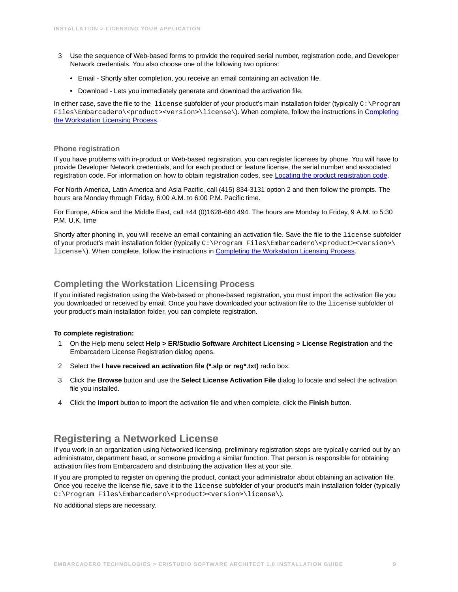- 3 Use the sequence of Web-based forms to provide the required serial number, registration code, and Developer Network credentials. You also choose one of the following two options:
	- Email Shortly after completion, you receive an email containing an activation file.
	- Download Lets you immediately generate and download the activation file.

In either case, save the file to the license subfolder of your product's main installation folder (typically  $C:\Per\gamma$ Files\Embarcadero\<product><version>\license\). When complete, follow the instructions in [Completing](#page-8-1)  [the Workstation Licensing Process.](#page-8-1)

#### <span id="page-8-0"></span>**Phone registration**

If you have problems with in-product or Web-based registration, you can register licenses by phone. You will have to provide Developer Network credentials, and for each product or feature license, the serial number and associated registration code. For information on how to obtain registration codes, see [Locating the product registration code.](#page-6-3)

For North America, Latin America and Asia Pacific, call (415) 834-3131 option 2 and then follow the prompts. The hours are Monday through Friday, 6:00 A.M. to 6:00 P.M. Pacific time.

For Europe, Africa and the Middle East, call +44 (0)1628-684 494. The hours are Monday to Friday, 9 A.M. to 5:30 P.M. U.K. time

Shortly after phoning in, you will receive an email containing an activation file. Save the file to the license subfolder of your product's main installation folder (typically C:\Program Files\Embarcadero\<product><version>\ license\). When complete, follow the instructions in [Completing the Workstation Licensing Process](#page-8-1).

### <span id="page-8-1"></span>**Completing the Workstation Licensing Process**

If you initiated registration using the Web-based or phone-based registration, you must import the activation file you you downloaded or received by email. Once you have downloaded your activation file to the license subfolder of your product's main installation folder, you can complete registration.

### **To complete registration:**

- 1 On the Help menu select **Help > ER/Studio Software Architect Licensing > License Registration** and the Embarcadero License Registration dialog opens.
- 2 Select the **I have received an activation file (\*.slp or reg\*.txt)** radio box.
- 3 Click the **Browse** button and use the **Select License Activation File** dialog to locate and select the activation file you installed.
- 4 Click the **Import** button to import the activation file and when complete, click the **Finish** button.

### <span id="page-8-2"></span>**Registering a Networked License**

If you work in an organization using Networked licensing, preliminary registration steps are typically carried out by an administrator, department head, or someone providing a similar function. That person is responsible for obtaining activation files from Embarcadero and distributing the activation files at your site.

If you are prompted to register on opening the product, contact your administrator about obtaining an activation file. Once you receive the license file, save it to the license subfolder of your product's main installation folder (typically C:\Program Files\Embarcadero\<product><version>\license\).

No additional steps are necessary.